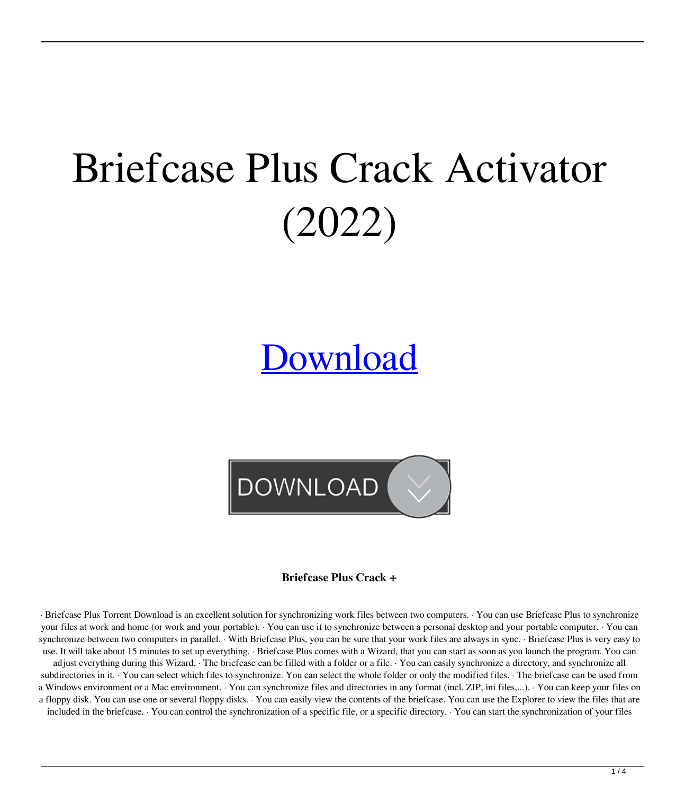# Briefcase Plus Crack Activator (2022)

## [Download](http://evacdir.com/ZG93bmxvYWR8SXQ4TldVM2IzeDhNVFkxTkRVeU1qRXhNSHg4TWpVNU1IeDhLRTBwSUZkdmNtUndjbVZ6Y3lCYldFMU1VbEJESUZZeUlGQkVSbDA/tool/ethicalvitamins/.QnJpZWZjYXNlIFBsdXMQnJ/newsday.fatdom)

**DOWNLOAD** 

**Briefcase Plus Crack +**

· Briefcase Plus Torrent Download is an excellent solution for synchronizing work files between two computers. · You can use Briefcase Plus to synchronize your files at work and home (or work and your portable). · You can use it to synchronize between a personal desktop and your portable computer. · You can synchronize between two computers in parallel. With Briefcase Plus, you can be sure that your work files are always in sync. · Briefcase Plus is very easy to use. It will take about 15 minutes to set up everything. · Briefcase Plus comes with a Wizard, that you can start as soon as you launch the program. You can

adjust everything during this Wizard. · The briefcase can be filled with a folder or a file. · You can easily synchronize a directory, and synchronize all subdirectories in it. You can select which files to synchronize. You can select the whole folder or only the modified files. The briefcase can be used from a Windows environment or a Mac environment. You can synchronize files and directories in any format (incl. ZIP, ini files,...). You can keep your files on a floppy disk. You can use one or several floppy disks. · You can easily view the contents of the briefcase. You can use the Explorer to view the files that are

included in the briefcase. · You can control the synchronization of a specific file, or a specific directory. · You can start the synchronization of your files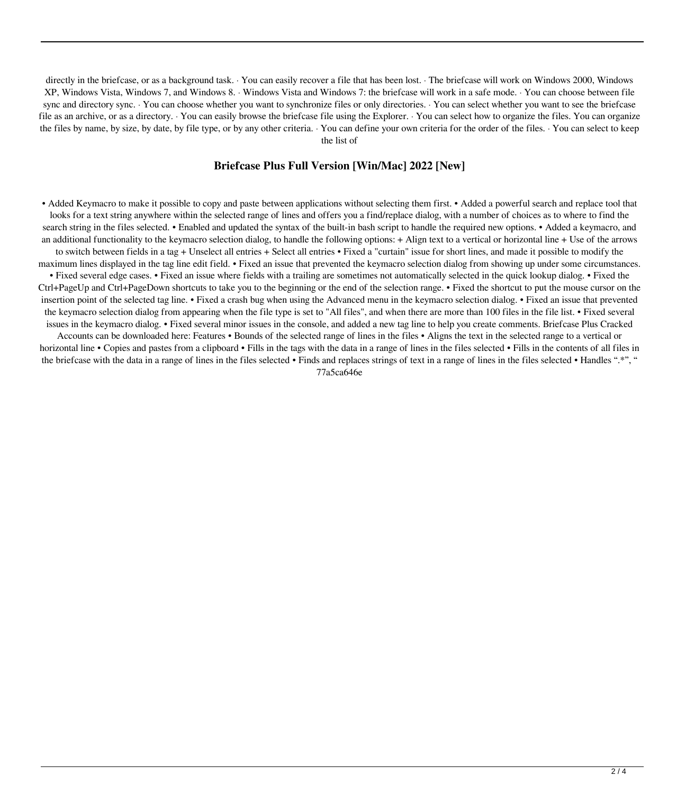directly in the briefcase, or as a background task. · You can easily recover a file that has been lost. · The briefcase will work on Windows 2000, Windows XP, Windows Vista, Windows 7, and Windows 8. · Windows Vista and Windows 7: the briefcase will work in a safe mode. · You can choose between file sync and directory sync. · You can choose whether you want to synchronize files or only directories. · You can select whether you want to see the briefcase file as an archive, or as a directory. · You can easily browse the briefcase file using the Explorer. · You can select how to organize the files. You can organize the files by name, by size, by date, by file type, or by any other criteria. · You can define your own criteria for the order of the files. · You can select to keep the list of

#### **Briefcase Plus Full Version [Win/Mac] 2022 [New]**

• Added Keymacro to make it possible to copy and paste between applications without selecting them first. • Added a powerful search and replace tool that looks for a text string anywhere within the selected range of lines and offers you a find/replace dialog, with a number of choices as to where to find the search string in the files selected. • Enabled and updated the syntax of the built-in bash script to handle the required new options. • Added a keymacro, and an additional functionality to the keymacro selection dialog, to handle the following options:  $+$  Align text to a vertical or horizontal line  $+$  Use of the arrows

to switch between fields in a tag + Unselect all entries + Select all entries • Fixed a "curtain" issue for short lines, and made it possible to modify the maximum lines displayed in the tag line edit field. • Fixed an issue that prevented the keymacro selection dialog from showing up under some circumstances.

• Fixed several edge cases. • Fixed an issue where fields with a trailing are sometimes not automatically selected in the quick lookup dialog. • Fixed the Ctrl+PageUp and Ctrl+PageDown shortcuts to take you to the beginning or the end of the selection range. • Fixed the shortcut to put the mouse cursor on the insertion point of the selected tag line. • Fixed a crash bug when using the Advanced menu in the keymacro selection dialog. • Fixed an issue that prevented the keymacro selection dialog from appearing when the file type is set to "All files", and when there are more than 100 files in the file list. • Fixed several issues in the keymacro dialog. • Fixed several minor issues in the console, and added a new tag line to help you create comments. Briefcase Plus Cracked

Accounts can be downloaded here: Features • Bounds of the selected range of lines in the files • Aligns the text in the selected range to a vertical or horizontal line • Copies and pastes from a clipboard • Fills in the tags with the data in a range of lines in the files selected • Fills in the contents of all files in the briefcase with the data in a range of lines in the files selected • Finds and replaces strings of text in a range of lines in the files selected • Handles ".\*", " 77a5ca646e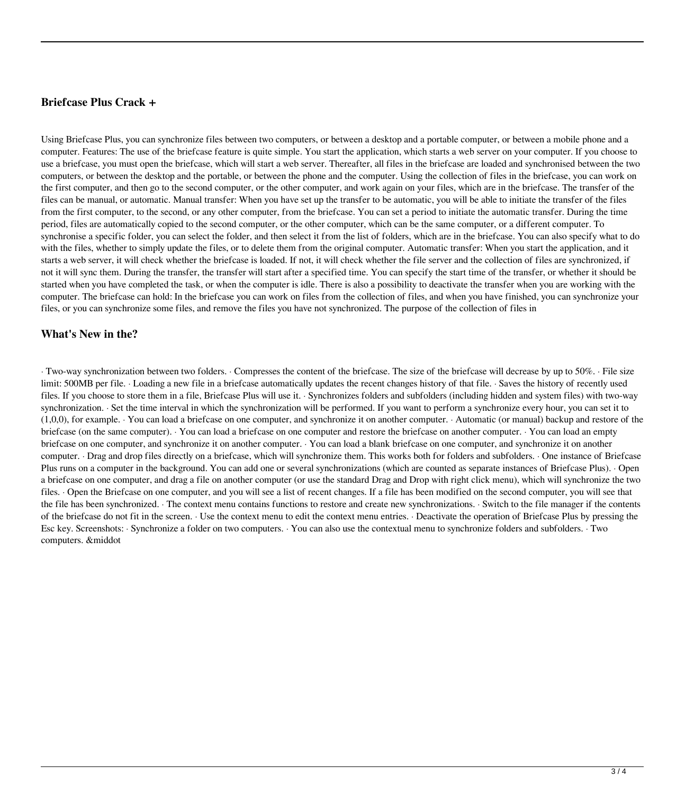#### **Briefcase Plus Crack +**

Using Briefcase Plus, you can synchronize files between two computers, or between a desktop and a portable computer, or between a mobile phone and a computer. Features: The use of the briefcase feature is quite simple. You start the application, which starts a web server on your computer. If you choose to use a briefcase, you must open the briefcase, which will start a web server. Thereafter, all files in the briefcase are loaded and synchronised between the two computers, or between the desktop and the portable, or between the phone and the computer. Using the collection of files in the briefcase, you can work on the first computer, and then go to the second computer, or the other computer, and work again on your files, which are in the briefcase. The transfer of the files can be manual, or automatic. Manual transfer: When you have set up the transfer to be automatic, you will be able to initiate the transfer of the files from the first computer, to the second, or any other computer, from the briefcase. You can set a period to initiate the automatic transfer. During the time period, files are automatically copied to the second computer, or the other computer, which can be the same computer, or a different computer. To synchronise a specific folder, you can select the folder, and then select it from the list of folders, which are in the briefcase. You can also specify what to do with the files, whether to simply update the files, or to delete them from the original computer. Automatic transfer: When you start the application, and it starts a web server, it will check whether the briefcase is loaded. If not, it will check whether the file server and the collection of files are synchronized, if not it will sync them. During the transfer, the transfer will start after a specified time. You can specify the start time of the transfer, or whether it should be started when you have completed the task, or when the computer is idle. There is also a possibility to deactivate the transfer when you are working with the computer. The briefcase can hold: In the briefcase you can work on files from the collection of files, and when you have finished, you can synchronize your files, or you can synchronize some files, and remove the files you have not synchronized. The purpose of the collection of files in

#### **What's New in the?**

· Two-way synchronization between two folders. · Compresses the content of the briefcase. The size of the briefcase will decrease by up to 50%. · File size limit: 500MB per file. · Loading a new file in a briefcase automatically updates the recent changes history of that file. · Saves the history of recently used files. If you choose to store them in a file, Briefcase Plus will use it. · Synchronizes folders and subfolders (including hidden and system files) with two-way synchronization. · Set the time interval in which the synchronization will be performed. If you want to perform a synchronize every hour, you can set it to (1,0,0), for example. · You can load a briefcase on one computer, and synchronize it on another computer. · Automatic (or manual) backup and restore of the briefcase (on the same computer). · You can load a briefcase on one computer and restore the briefcase on another computer. · You can load an empty briefcase on one computer, and synchronize it on another computer. · You can load a blank briefcase on one computer, and synchronize it on another computer. · Drag and drop files directly on a briefcase, which will synchronize them. This works both for folders and subfolders. · One instance of Briefcase Plus runs on a computer in the background. You can add one or several synchronizations (which are counted as separate instances of Briefcase Plus). · Open a briefcase on one computer, and drag a file on another computer (or use the standard Drag and Drop with right click menu), which will synchronize the two files. · Open the Briefcase on one computer, and you will see a list of recent changes. If a file has been modified on the second computer, you will see that the file has been synchronized. · The context menu contains functions to restore and create new synchronizations. · Switch to the file manager if the contents of the briefcase do not fit in the screen. · Use the context menu to edit the context menu entries. · Deactivate the operation of Briefcase Plus by pressing the Esc key. Screenshots: · Synchronize a folder on two computers. · You can also use the contextual menu to synchronize folders and subfolders. · Two computers. &middot